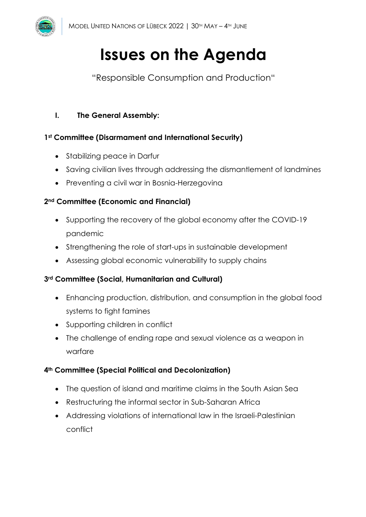

# **Issues on the Agenda**

"Responsible Consumption and Production"

# **I. The General Assembly:**

# **1st Committee (Disarmament and International Security)**

- Stabilizing peace in Darfur
- Saving civilian lives through addressing the dismantlement of landmines
- Preventing a civil war in Bosnia-Herzegovina

# **2nd Committee (Economic and Financial)**

- Supporting the recovery of the global economy after the COVID-19 pandemic
- Strengthening the role of start-ups in sustainable development
- Assessing global economic vulnerability to supply chains

# **3rd Committee (Social, Humanitarian and Cultural)**

- Enhancing production, distribution, and consumption in the global food systems to fight famines
- Supporting children in conflict
- The challenge of ending rape and sexual violence as a weapon in warfare

# **4th Committee (Special Political and Decolonization)**

- The question of island and maritime claims in the South Asian Sea
- Restructuring the informal sector in Sub-Saharan Africa
- Addressing violations of international law in the Israeli-Palestinian conflict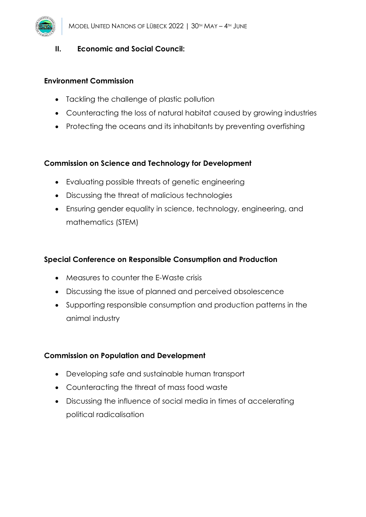# **II. Economic and Social Council:**

#### **Environment Commission**

- Tackling the challenge of plastic pollution
- Counteracting the loss of natural habitat caused by growing industries
- Protecting the oceans and its inhabitants by preventing overfishing

# **Commission on Science and Technology for Development**

- Evaluating possible threats of genetic engineering
- Discussing the threat of malicious technologies
- Ensuring gender equality in science, technology, engineering, and mathematics (STEM)

# **Special Conference on Responsible Consumption and Production**

- Measures to counter the E-Waste crisis
- Discussing the issue of planned and perceived obsolescence
- Supporting responsible consumption and production patterns in the animal industry

# **Commission on Population and Development**

- Developing safe and sustainable human transport
- Counteracting the threat of mass food waste
- Discussing the influence of social media in times of accelerating political radicalisation